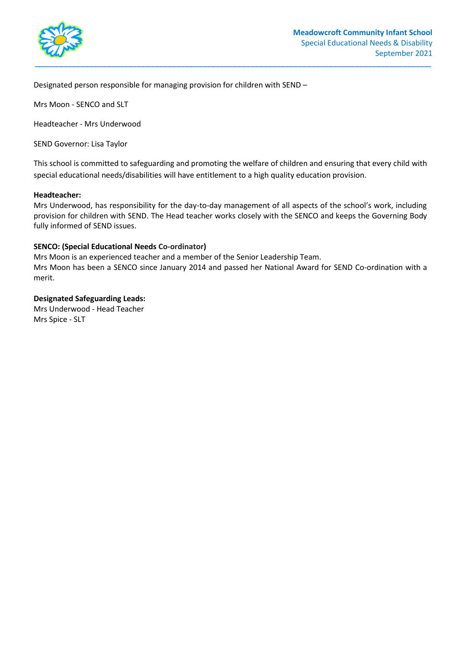

Designated person responsible for managing provision for children with SEND –

Mrs Moon - SENCO and SLT

Headteacher - Mrs Underwood

SEND Governor: Lisa Taylor

This school is committed to safeguarding and promoting the welfare of children and ensuring that every child with special educational needs/disabilities will have entitlement to a high quality education provision.

#### **Headteacher:**

Mrs Underwood, has responsibility for the day-to-day management of all aspects of the school's work, including provision for children with SEND. The Head teacher works closely with the SENCO and keeps the Governing Body fully informed of SEND issues.

#### **SENCO: (Special Educational Needs Co-ordinator)**

Mrs Moon is an experienced teacher and a member of the Senior Leadership Team.

Mrs Moon has been a SENCO since January 2014 and passed her National Award for SEND Co-ordination with a merit.

## **Designated Safeguarding Leads:**

Mrs Underwood - Head Teacher Mrs Spice - SLT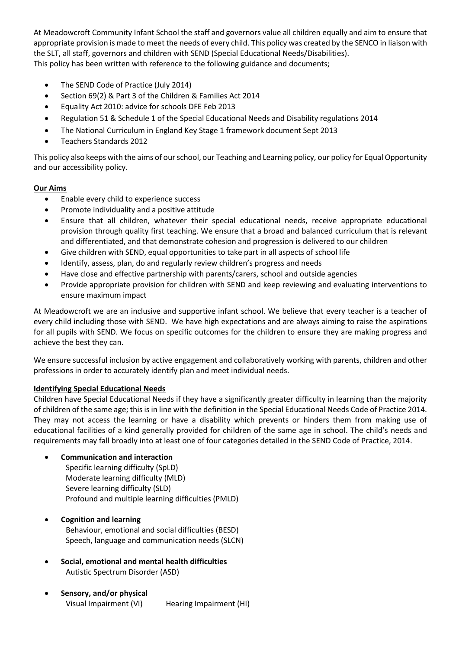At Meadowcroft Community Infant School the staff and governors value all children equally and aim to ensure that appropriate provision is made to meet the needs of every child. This policy was created by the SENCO in liaison with the SLT, all staff, governors and children with SEND (Special Educational Needs/Disabilities). This policy has been written with reference to the following guidance and documents;

- The SEND Code of Practice (July 2014)
- Section 69(2) & Part 3 of the Children & Families Act 2014
- Equality Act 2010: advice for schools DFE Feb 2013
- Regulation 51 & Schedule 1 of the Special Educational Needs and Disability regulations 2014
- The National Curriculum in England Key Stage 1 framework document Sept 2013
- Teachers Standards 2012

This policy also keeps with the aims of our school, our Teaching and Learning policy, our policy for Equal Opportunity and our accessibility policy.

### **Our Aims**

- Enable every child to experience success
- Promote individuality and a positive attitude
- Ensure that all children, whatever their special educational needs, receive appropriate educational provision through quality first teaching. We ensure that a broad and balanced curriculum that is relevant and differentiated, and that demonstrate cohesion and progression is delivered to our children
- Give children with SEND, equal opportunities to take part in all aspects of school life
- Identify, assess, plan, do and regularly review children's progress and needs
- Have close and effective partnership with parents/carers, school and outside agencies
- Provide appropriate provision for children with SEND and keep reviewing and evaluating interventions to ensure maximum impact

At Meadowcroft we are an inclusive and supportive infant school. We believe that every teacher is a teacher of every child including those with SEND. We have high expectations and are always aiming to raise the aspirations for all pupils with SEND. We focus on specific outcomes for the children to ensure they are making progress and achieve the best they can.

We ensure successful inclusion by active engagement and collaboratively working with parents, children and other professions in order to accurately identify plan and meet individual needs.

## **Identifying Special Educational Needs**

Children have Special Educational Needs if they have a significantly greater difficulty in learning than the majority of children of the same age; this is in line with the definition in the Special Educational Needs Code of Practice 2014. They may not access the learning or have a disability which prevents or hinders them from making use of educational facilities of a kind generally provided for children of the same age in school. The child's needs and requirements may fall broadly into at least one of four categories detailed in the SEND Code of Practice, 2014.

## **Communication and interaction**

 Specific learning difficulty (SpLD) Moderate learning difficulty (MLD) Severe learning difficulty (SLD) Profound and multiple learning difficulties (PMLD)

## **Cognition and learning**

 Behaviour, emotional and social difficulties (BESD) Speech, language and communication needs (SLCN)

- **Social, emotional and mental health difficulties**  Autistic Spectrum Disorder (ASD)
- **Sensory, and/or physical**  Visual Impairment (VI) Hearing Impairment (HI)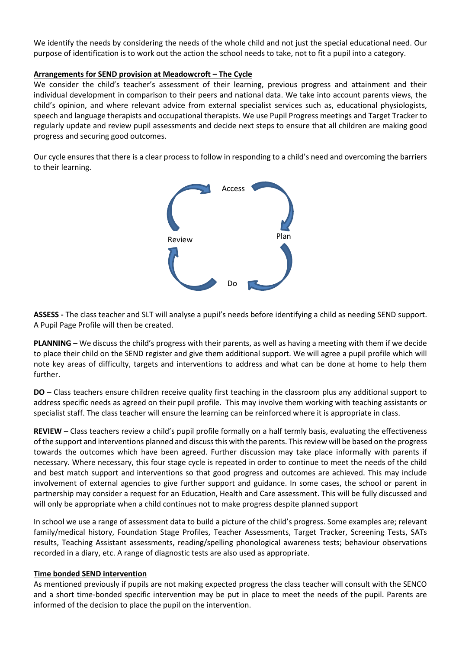We identify the needs by considering the needs of the whole child and not just the special educational need. Our purpose of identification is to work out the action the school needs to take, not to fit a pupil into a category.

### **Arrangements for SEND provision at Meadowcroft – The Cycle**

We consider the child's teacher's assessment of their learning, previous progress and attainment and their individual development in comparison to their peers and national data. We take into account parents views, the child's opinion, and where relevant advice from external specialist services such as, educational physiologists, speech and language therapists and occupational therapists. We use Pupil Progress meetings and Target Tracker to regularly update and review pupil assessments and decide next steps to ensure that all children are making good progress and securing good outcomes.

Our cycle ensures that there is a clear process to follow in responding to a child's need and overcoming the barriers to their learning.



**ASSESS -** The class teacher and SLT will analyse a pupil's needs before identifying a child as needing SEND support. A Pupil Page Profile will then be created.

**PLANNING** – We discuss the child's progress with their parents, as well as having a meeting with them if we decide to place their child on the SEND register and give them additional support. We will agree a pupil profile which will note key areas of difficulty, targets and interventions to address and what can be done at home to help them further.

**DO** – Class teachers ensure children receive quality first teaching in the classroom plus any additional support to address specific needs as agreed on their pupil profile. This may involve them working with teaching assistants or specialist staff. The class teacher will ensure the learning can be reinforced where it is appropriate in class.

**REVIEW** – Class teachers review a child's pupil profile formally on a half termly basis, evaluating the effectiveness of the support and interventions planned and discuss this with the parents. This review will be based on the progress towards the outcomes which have been agreed. Further discussion may take place informally with parents if necessary. Where necessary, this four stage cycle is repeated in order to continue to meet the needs of the child and best match support and interventions so that good progress and outcomes are achieved. This may include involvement of external agencies to give further support and guidance. In some cases, the school or parent in partnership may consider a request for an Education, Health and Care assessment. This will be fully discussed and will only be appropriate when a child continues not to make progress despite planned support

In school we use a range of assessment data to build a picture of the child's progress. Some examples are; relevant family/medical history, Foundation Stage Profiles, Teacher Assessments, Target Tracker, Screening Tests, SATs results, Teaching Assistant assessments, reading/spelling phonological awareness tests; behaviour observations recorded in a diary, etc. A range of diagnostic tests are also used as appropriate.

### **Time bonded SEND intervention**

As mentioned previously if pupils are not making expected progress the class teacher will consult with the SENCO and a short time-bonded specific intervention may be put in place to meet the needs of the pupil. Parents are informed of the decision to place the pupil on the intervention.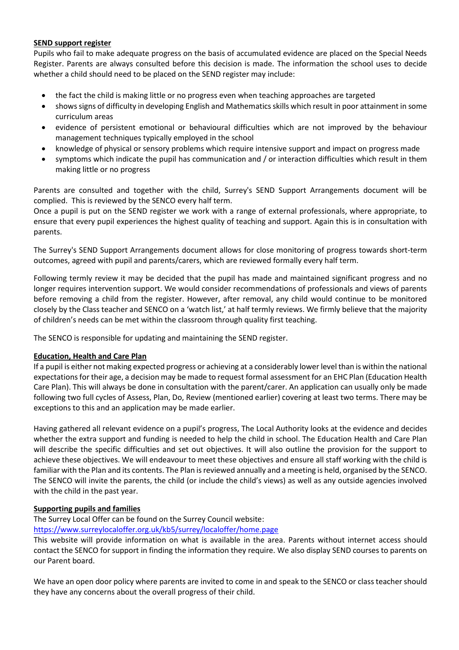## **SEND support register**

Pupils who fail to make adequate progress on the basis of accumulated evidence are placed on the Special Needs Register. Parents are always consulted before this decision is made. The information the school uses to decide whether a child should need to be placed on the SEND register may include:

- the fact the child is making little or no progress even when teaching approaches are targeted
- shows signs of difficulty in developing English and Mathematics skills which result in poor attainment in some curriculum areas
- evidence of persistent emotional or behavioural difficulties which are not improved by the behaviour management techniques typically employed in the school
- knowledge of physical or sensory problems which require intensive support and impact on progress made
- symptoms which indicate the pupil has communication and / or interaction difficulties which result in them making little or no progress

Parents are consulted and together with the child, Surrey's SEND Support Arrangements document will be complied. This is reviewed by the SENCO every half term.

Once a pupil is put on the SEND register we work with a range of external professionals, where appropriate, to ensure that every pupil experiences the highest quality of teaching and support. Again this is in consultation with parents.

The Surrey's SEND Support Arrangements document allows for close monitoring of progress towards short-term outcomes, agreed with pupil and parents/carers, which are reviewed formally every half term.

Following termly review it may be decided that the pupil has made and maintained significant progress and no longer requires intervention support. We would consider recommendations of professionals and views of parents before removing a child from the register. However, after removal, any child would continue to be monitored closely by the Class teacher and SENCO on a 'watch list,' at half termly reviews. We firmly believe that the majority of children's needs can be met within the classroom through quality first teaching.

The SENCO is responsible for updating and maintaining the SEND register.

## **Education, Health and Care Plan**

If a pupil is either not making expected progress or achieving at a considerably lower level than is within the national expectations for their age, a decision may be made to request formal assessment for an EHC Plan (Education Health Care Plan). This will always be done in consultation with the parent/carer. An application can usually only be made following two full cycles of Assess, Plan, Do, Review (mentioned earlier) covering at least two terms. There may be exceptions to this and an application may be made earlier.

Having gathered all relevant evidence on a pupil's progress, The Local Authority looks at the evidence and decides whether the extra support and funding is needed to help the child in school. The Education Health and Care Plan will describe the specific difficulties and set out objectives. It will also outline the provision for the support to achieve these objectives. We will endeavour to meet these objectives and ensure all staff working with the child is familiar with the Plan and its contents. The Plan is reviewed annually and a meeting is held, organised by the SENCO. The SENCO will invite the parents, the child (or include the child's views) as well as any outside agencies involved with the child in the past year.

## **Supporting pupils and families**

The Surrey Local Offer can be found on the Surrey Council website:

<https://www.surreylocaloffer.org.uk/kb5/surrey/localoffer/home.page>

This website will provide information on what is available in the area. Parents without internet access should contact the SENCO for support in finding the information they require. We also display SEND courses to parents on our Parent board.

We have an open door policy where parents are invited to come in and speak to the SENCO or class teacher should they have any concerns about the overall progress of their child.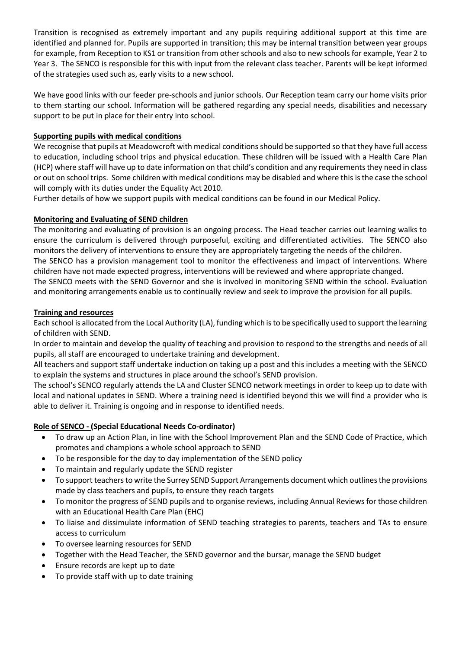Transition is recognised as extremely important and any pupils requiring additional support at this time are identified and planned for. Pupils are supported in transition; this may be internal transition between year groups for example, from Reception to KS1 or transition from other schools and also to new schools for example, Year 2 to Year 3. The SENCO is responsible for this with input from the relevant class teacher. Parents will be kept informed of the strategies used such as, early visits to a new school.

We have good links with our feeder pre-schools and junior schools. Our Reception team carry our home visits prior to them starting our school. Information will be gathered regarding any special needs, disabilities and necessary support to be put in place for their entry into school.

# **Supporting pupils with medical conditions**

We recognise that pupils at Meadowcroft with medical conditions should be supported so that they have full access to education, including school trips and physical education. These children will be issued with a Health Care Plan (HCP) where staff will have up to date information on that child's condition and any requirements they need in class or out on school trips. Some children with medical conditions may be disabled and where this is the case the school will comply with its duties under the Equality Act 2010.

Further details of how we support pupils with medical conditions can be found in our Medical Policy.

# **Monitoring and Evaluating of SEND children**

The monitoring and evaluating of provision is an ongoing process. The Head teacher carries out learning walks to ensure the curriculum is delivered through purposeful, exciting and differentiated activities. The SENCO also monitors the delivery of interventions to ensure they are appropriately targeting the needs of the children. The SENCO has a provision management tool to monitor the effectiveness and impact of interventions. Where children have not made expected progress, interventions will be reviewed and where appropriate changed.

The SENCO meets with the SEND Governor and she is involved in monitoring SEND within the school. Evaluation and monitoring arrangements enable us to continually review and seek to improve the provision for all pupils.

## **Training and resources**

Each school is allocated from the Local Authority (LA), funding which is to be specifically used to support the learning of children with SEND.

In order to maintain and develop the quality of teaching and provision to respond to the strengths and needs of all pupils, all staff are encouraged to undertake training and development.

All teachers and support staff undertake induction on taking up a post and this includes a meeting with the SENCO to explain the systems and structures in place around the school's SEND provision.

The school's SENCO regularly attends the LA and Cluster SENCO network meetings in order to keep up to date with local and national updates in SEND. Where a training need is identified beyond this we will find a provider who is able to deliver it. Training is ongoing and in response to identified needs.

# **Role of SENCO - (Special Educational Needs Co-ordinator)**

- To draw up an Action Plan, in line with the School Improvement Plan and the SEND Code of Practice, which promotes and champions a whole school approach to SEND
- To be responsible for the day to day implementation of the SEND policy
- To maintain and regularly update the SEND register
- To support teachers to write the Surrey SEND Support Arrangements document which outlines the provisions made by class teachers and pupils, to ensure they reach targets
- To monitor the progress of SEND pupils and to organise reviews, including Annual Reviews for those children with an Educational Health Care Plan (EHC)
- To liaise and dissimulate information of SEND teaching strategies to parents, teachers and TAs to ensure access to curriculum
- To oversee learning resources for SEND
- Together with the Head Teacher, the SEND governor and the bursar, manage the SEND budget
- Ensure records are kept up to date
- To provide staff with up to date training